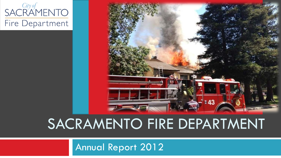



## SACRAMENTO FIRE DEPARTMENT

Annual Report 2012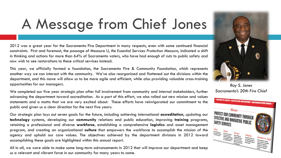# A Message from Chief Jones

2012 was a great year for the Sacramento Fire Department in many respects, even with some continued financial constraints. First and foremost, the passage of Measure U, *the Essential Services Protection Measure*, indicated a shift in thinking and actions for more than 64% of Sacramento voters, who have had enough of cuts to public safety and now wish to see restorations to these critical services instead.

This year, we officially formed a foundation, the Sacramento Fire & Community Foundation, which represents another way we can interact with the community. We've also reorganized and flattened out the divisions within the department, and this move will allow us to be more agile and efficient, while also providing valuable cross-training opportunities for our managers.

We completed our five year strategic plan after full involvement from community and internal stakeholders, further advancing the department toward accreditation. As a part of this effort, we also rolled out new mission and values statements and a motto that we are very excited about. These efforts have reinvigorated our commitment to the public and given us a clear direction for the next five years.

Our strategic plan lays out seven goals for the future, including achieving international **accreditation**, updating our **technology** systems, developing our **community** relations and public education, improving **training** programs, retaining a professional and diverse **workforce**, establishing a comprehensive **logistics** and asset management program, and creating an organizational **culture** that empowers the workforce to accomplish the mission of the agency and uphold our core values. The objectives achieved by the department divisions in 2012 toward accomplishing these goals are highlighted within this annual report.

All in all, we were able to make some long-term advancements in 2012 that will improve our department and keep us a relevant and vibrant force in our community for many years to come.



*Sacramento's 20th Fire Chief*

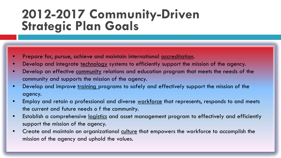### **2012-2017 Community-Driven Strategic Plan Goals**

- Prepare for, pursue, achieve and maintain international accreditation.
- Develop and integrate technology systems to efficiently support the mission of the agency.
- Develop an effective community relations and education program that meets the needs of the community and supports the mission of the agency.
- Develop and improve training programs to safely and effectively support the mission of the agency.
- Employ and retain a professional and diverse workforce that represents, responds to and meets the current and future needs o f the community.
- Establish a comprehensive logistics and asset management program to effectively and efficiently support the mission of the agency.
- Create and maintain an organizational culture that empowers the workforce to accomplish the mission of the agency and uphold the values.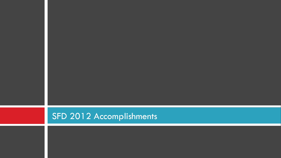### SFD 2012 Accomplishments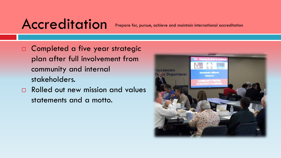## Accreditation

Prepare for, pursue, achieve and maintain international accreditation

- *C*ompleted a five year strategic plan after full involvement from community and internal stakeholders.
- □ Rolled out new mission and values statements and a motto.

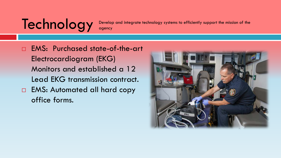# Technology

Develop and integrate technology systems to efficiently support the mission of the agency

 EMS: Purchased state-of-the-art Electrocardiogram (EKG) Monitors and established a 12 Lead EKG transmission contract. **EMS: Automated all hard copy** office forms.

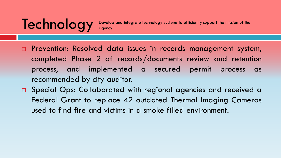# **Technology**

- **Prevention: Resolved data issues in records management system,** completed Phase 2 of records/documents review and retention process, and implemented a secured permit process as recommended by city auditor.
- □ Special Ops: Collaborated with regional agencies and received a Federal Grant to replace 42 outdated Thermal Imaging Cameras used to find fire and victims in a smoke filled environment.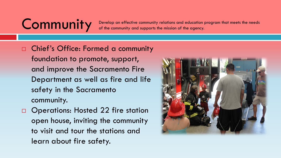Community and supports the mission of the agency. of the community and supports the mission of the agency.

 Chief's Office: Formed a community foundation to promote, support, and improve the Sacramento Fire Department as well as fire and life safety in the Sacramento community.

□ Operations: Hosted 22 fire station open house, inviting the community to visit and tour the stations and learn about fire safety.

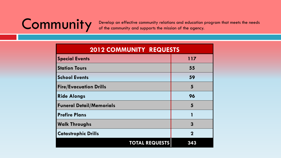Community and supports the mission of the agency. of the community and supports the mission of the agency.

| <b>2012 COMMUNITY REQUESTS</b>  |             |  |  |  |
|---------------------------------|-------------|--|--|--|
| <b>Special Events</b>           | 117         |  |  |  |
| <b>Station Tours</b>            | 55          |  |  |  |
| <b>School Events</b>            | 59          |  |  |  |
| <b>Fire/Evacuation Drills</b>   | 5           |  |  |  |
| <b>Ride Alongs</b>              | 96          |  |  |  |
| <b>Funeral Detail/Memorials</b> | 5           |  |  |  |
| <b>Prefire Plans</b>            |             |  |  |  |
| <b>Walk Throughs</b>            | 3           |  |  |  |
| <b>Catastrophic Drills</b>      | $\mathbf 2$ |  |  |  |
| <b>TOTAL REQUESTS</b>           | 343         |  |  |  |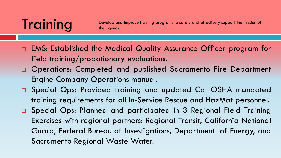# Training

Develop and improve training programs to safely and effectively support the mission of the agency.

- EMS: Established the Medical Quality Assurance Officer program for field training/probationary evaluations.
- Operations: Completed and published Sacramento Fire Department Engine Company Operations manual.
- □ Special Ops: Provided training and updated Cal OSHA mandated training requirements for all In-Service Rescue and HazMat personnel.
- Special Ops: Planned and participated in 3 Regional Field Training Exercises with regional partners: Regional Transit, California National Guard, Federal Bureau of Investigations, Department of Energy, and Sacramento Regional Waste Water.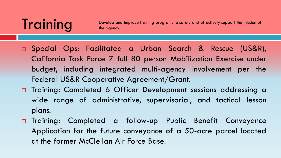# Training

Develop and improve training programs to safely and effectively support the mission of the agency.

- Special Ops: Facilitated a Urban Search & Rescue (US&R), California Task Force 7 full 80 person Mobilization Exercise under budget, including integrated multi-agency involvement per the Federal US&R Cooperative Agreement/Grant.
- □ Training: Completed 6 Officer Development sessions addressing a wide range of administrative, supervisorial, and tactical lesson plans.
- Training: Completed a follow-up Public Benefit Conveyance Application for the future conveyance of a 50-acre parcel located at the former McClellan Air Force Base.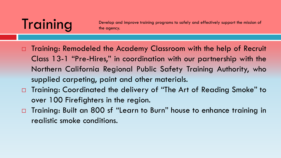**Training** Develop and improve training programs to safely and effectively support the mission of the mission of the agency.

- □ Training: Remodeled the Academy Classroom with the help of Recruit Class 13-1 "Pre-Hires," in coordination with our partnership with the Northern California Regional Public Safety Training Authority, who supplied carpeting, paint and other materials.
- □ Training: Coordinated the delivery of "The Art of Reading Smoke" to over 100 Firefighters in the region.
- □ Training: Built an 800 sf "Learn to Burn" house to enhance training in realistic smoke conditions.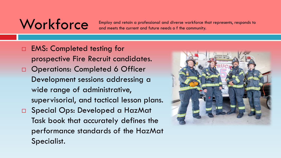# **Workforce**

Employ and retain a professional and diverse workforce that represents, responds to and meets the current and future needs o f the community.

□ EMS: Completed testing for prospective Fire Recruit candidates. Operations: Completed 6 Officer Development sessions addressing a wide range of administrative, supervisorial, and tactical lesson plans. □ Special Ops: Developed a HazMat Task book that accurately defines the performance standards of the HazMat Specialist.

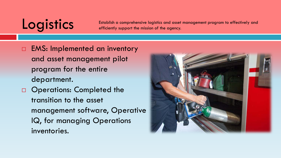# **Logistics**

Establish a comprehensive logistics and asset management program to effectively and efficiently support the mission of the agency.

- □ EMS: Implemented an inventory and asset management pilot program for the entire department.
- Operations: Completed the transition to the asset management software, Operative IQ, for managing Operations inventories.

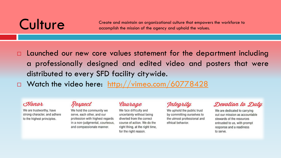Culture Create and maintain an organizational culture that empowers the workforce to<br>accomplish the mission of the gaency and uphold the values. accomplish the mission of the agency and uphold the values.

 $\square$  Launched our new core values statement for the department including a professionally designed and edited video and posters that were distributed to every SFD facility citywide.

□ Watch the video here: <http://vimeo.com/60778428>

### Hener

We are trustworthy, have strong character, and adhere to the highest principles.

### Respect

We hold the community we serve, each other, and our profession with highest regards in a non-judgmental, courteous, and compassionate manner.

### Courage

We face difficulty and uncertainty without being diverted from the correct course of action. We do the right thing, at the right time, for the right reason.

Integrity

We uphold the public trust by committing ourselves to the utmost professional and ethical behavior.

Devotion to Duty

We are dedicated to carrying out our mission as accountable stewards of the resources entrusted to us, with prompt response and a readiness to serve.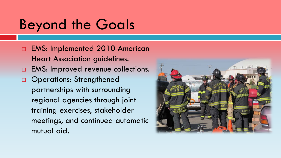- □ EMS: Implemented 2010 American Heart Association guidelines.
- **EMS: Improved revenue collections.**
- Operations: Strengthened partnerships with surrounding regional agencies through joint training exercises, stakeholder meetings, and continued automatic mutual aid.

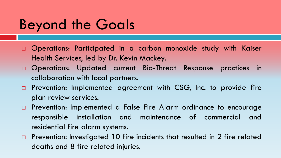- Operations: Participated in a carbon monoxide study with Kaiser Health Services, led by Dr. Kevin Mackey.
- Operations: Updated current Bio-Threat Response practices in collaboration with local partners.
- □ Prevention: Implemented agreement with CSG, Inc. to provide fire plan review services.
- Prevention: Implemented a False Fire Alarm ordinance to encourage responsible installation and maintenance of commercial and residential fire alarm systems.
- **Prevention:** Investigated 10 fire incidents that resulted in 2 fire related deaths and 8 fire related injuries.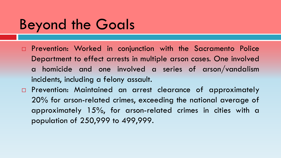- **Prevention: Worked in conjunction with the Sacramento Police** Department to effect arrests in multiple arson cases. One involved a homicide and one involved a series of arson/vandalism incidents, including a felony assault.
- Prevention: Maintained an arrest clearance of approximately 20% for arson-related crimes, exceeding the national average of approximately 15%, for arson-related crimes in cities with a population of 250,999 to 499,999.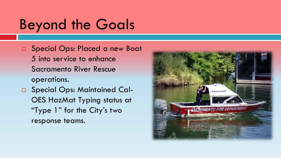- □ Special Ops: Placed a new Boat 5 into service to enhance Sacramento River Rescue operations.
- □ Special Ops: Maintained Cal-OES HazMat Typing status at "Type 1" for the City's two response teams.

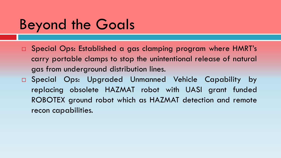- □ Special Ops: Established a gas clamping program where HMRT's carry portable clamps to stop the unintentional release of natural gas from underground distribution lines.
- Special Ops: Upgraded Unmanned Vehicle Capability by replacing obsolete HAZMAT robot with UASI grant funded ROBOTEX ground robot which as HAZMAT detection and remote recon capabilities.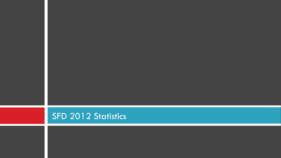### SFD 2012 Statistics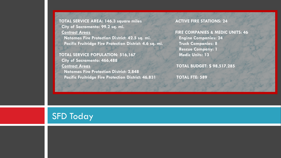**TOTAL SERVICE AREA: 146.3 square miles City of Sacramento: 99.2 sq. mi. Contract Areas**

 **Natomas Fire Protection District: 42.5 sq. mi. Pacific Fruitridge Fire Protection District: 4.6 sq. mi.**

 **TOTAL SERVICE POPULATION: 516,167 City of Sacramento: 466,488**

 **Contract Areas Natomas Fire Protection District: 2,848 Pacific Fruitridge Fire Protection District: 46,831**  **ACTIVE FIRE STATIONS: 24** 

 **FIRE COMPANIES & MEDIC UNITS: 46 Engine Companies: 24 Truck Companies: 8 Rescue Company: 1 Medic Units: 13**

 **TOTAL BUDGET: \$ 98,517,285**

 **TOTAL FTE: 589**

### **SFD Today**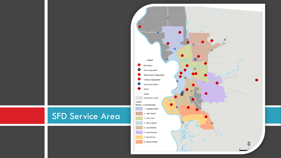### SFD Service Area

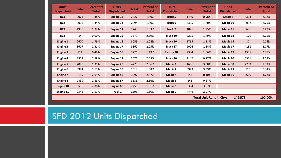| <b>Units</b><br><b>Dispatched</b>          | Total | <b>Percent of</b><br><b>Total</b> | <b>Units</b><br><b>Dispatched</b> | <b>Total</b> | <b>Percent of</b><br><b>Total</b> | <b>Units</b><br><b>Dispatched</b> | <b>Total</b> | <b>Percent of</b><br><b>Total</b> | <b>Units</b><br><b>Dispatched</b> | <b>Total</b> | <b>Percent of</b><br><b>Total</b> |
|--------------------------------------------|-------|-----------------------------------|-----------------------------------|--------------|-----------------------------------|-----------------------------------|--------------|-----------------------------------|-----------------------------------|--------------|-----------------------------------|
| BC1                                        | 2071  | 1.38%                             | <b>Engine 12</b>                  | 2227         | 1.49%                             | Truck 5                           | 1459         | 0.98%                             | Medic 8                           | 3324         | 2.22%                             |
| BC2                                        | 2006  | 1.34%                             | Engine 13                         | 2094         | 1.40%                             | Truck 6                           | 2395         | 1.60%                             | Medic 10                          | 4032         | 2.70%                             |
| BC <sub>3</sub>                            | 1980  | 1.32%                             | <b>Engine 14</b>                  | 2743         | 1.83%                             | Truck 7                           | 1871         | 1.25%                             | Medic 11                          | 3636         | 2.43%                             |
| BC4                                        | 0     | 0.00%                             | Engine 15                         | 3579         | 2.39%                             | Truck 10                          | 2235         | 1.49%                             | Medic 12                          | 4179         | 2.79%                             |
| Engine 1                                   | 2670  | 1.79%                             | Engine 16                         | 3055         | 2.04%                             | Truck 16                          | 1765         | 1.18%                             | Medic 15                          | 87           | 0.06%                             |
| Engine 2                                   | 3607  | 2.41%                             | Engine 17                         | 3362         | 2.25%                             | Truck 17                          | 2006         | 1.34%                             | Medic 17                          | 4138         | 2.77%                             |
| Engine 3                                   | 724   | 0.48%                             | <b>Engine 18</b>                  | 2226         | 1.49%                             | Rescue 20                         | 2334         | 1.56%                             | Medic 19                          | 4305         | 2.88%                             |
| Engine 4                                   | 3858  | 2.58%                             | Engine 19                         | 3071         | 2.05%                             | Truck 30                          | 1147         | 0.77%                             | Medic 20                          | 5521         | 3.69%                             |
| <b>Engine 5</b>                            | 2078  | 1.39%                             | <b>Engine 20</b>                  | 4278         | 2.86%                             | Medic <sub>1</sub>                | 4606         | 3.08%                             | Medic 30                          | 2733         | 1.83%                             |
| Engine 6                                   | 3994  | 2.67%                             | Engine 30                         | 1618         | 1.08%                             | Medic 2                           | 5973         | 3.99%                             | Medic 43                          | 515          | 0.34%                             |
| <b>Engine 7</b>                            | 3119  | 2.09%                             | <b>Engine 56</b>                  | 3997         | 2.67%                             | Medic 4                           | 143          | 0.10%                             | Medic 56                          | 5660         | 3.78%                             |
| Engine 8                                   | 2439  | 1.63%                             | <b>Engine 57</b>                  | 3535         | 2.36%                             | Medic 5                           | 848          | 0.57%                             |                                   |              |                                   |
| Engine 10                                  | 3555  | 2.38%                             | Engine 60                         | 2256         | 1.51%                             | Medic 6                           | 5334         | 3.57%                             |                                   |              |                                   |
| Engine 11                                  | 2346  | 1.57%                             | Truck 2                           | 2393         | 1.60%                             | Medic 7                           | 4446         | 2.97%                             |                                   |              |                                   |
| <b>Total Unit Runs in City:</b><br>149,573 |       |                                   |                                   |              |                                   |                                   | 100.00%      |                                   |                                   |              |                                   |

### SFD 2012 Units Dispatched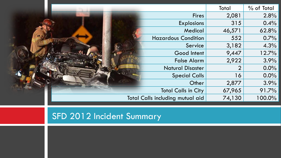|                                  | Total  | % of Total |
|----------------------------------|--------|------------|
| <b>Fires</b>                     | 2,081  | 2.8%       |
| <b>Explosions</b>                | 315    | 0.4%       |
| Medical                          | 46,571 | 62.8%      |
| <b>Hazardous Condition</b>       | 552    | 0.7%       |
| Service                          | 3,182  | 4.3%       |
| Good Intent                      | 9,447  | 12.7%      |
| <b>False Alarm</b>               | 2,922  | 3.9%       |
| <b>Natural Disaster</b>          | ?      | $0.0\%$    |
| <b>Special Calls</b>             | 16     | $0.0\%$    |
| Other                            | 2,877  | 3.9%       |
| <b>Total Calls in City</b>       | 67,965 | 91.7%      |
| Total Calls including mutual aid | 74,130 | 100.0%     |

### SFD 2012 Incident Summary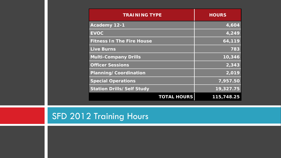| <b>TRAINING TYPE</b>             | <b>HOURS</b> |
|----------------------------------|--------------|
| Academy 12-1                     | 4,604        |
| <b>EVOC</b>                      | 4,249        |
| <b>Fitness In The Fire House</b> | 64,119       |
| <b>Live Burns</b>                | 783          |
| <b>Multi-Company Drills</b>      | 10,346       |
| <b>Officer Sessions</b>          | 2,343        |
| Planning/Coordination            | 2,019        |
| <b>Special Operations</b>        | 7,957.50     |
| <b>Station Drills/Self Study</b> | 19,327.75    |
| <b>TOTAL HOURS</b>               | 115,748.25   |

### SFD 2012 Training Hours